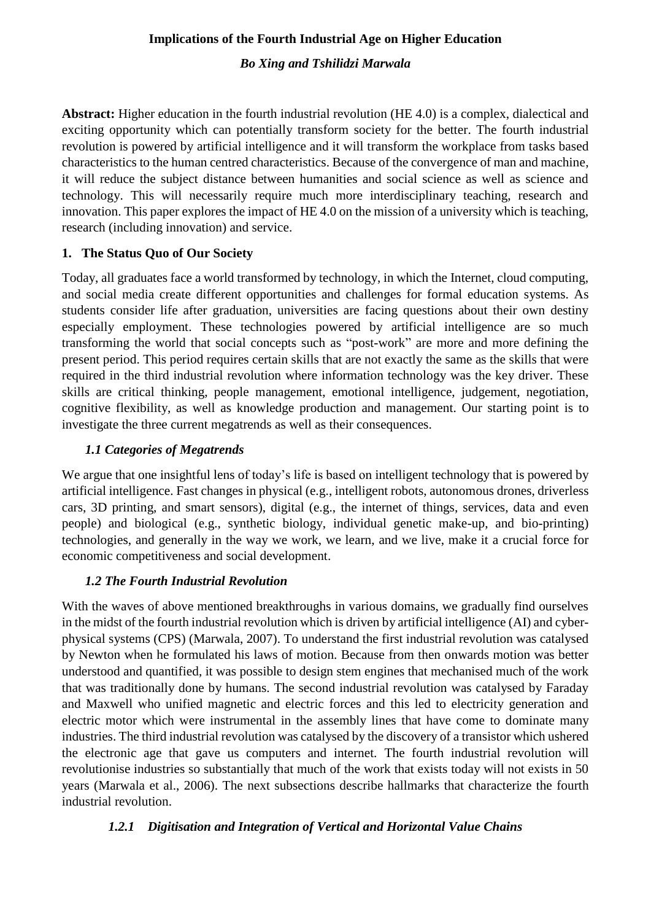#### **Implications of the Fourth Industrial Age on Higher Education**

#### *Bo Xing and Tshilidzi Marwala*

**Abstract:** Higher education in the fourth industrial revolution (HE 4.0) is a complex, dialectical and exciting opportunity which can potentially transform society for the better. The fourth industrial revolution is powered by artificial intelligence and it will transform the workplace from tasks based characteristics to the human centred characteristics. Because of the convergence of man and machine, it will reduce the subject distance between humanities and social science as well as science and technology. This will necessarily require much more interdisciplinary teaching, research and innovation. This paper explores the impact of HE 4.0 on the mission of a university which is teaching, research (including innovation) and service.

#### **1. The Status Quo of Our Society**

Today, all graduates face a world transformed by technology, in which the Internet, cloud computing, and social media create different opportunities and challenges for formal education systems. As students consider life after graduation, universities are facing questions about their own destiny especially employment. These technologies powered by artificial intelligence are so much transforming the world that social concepts such as "post-work" are more and more defining the present period. This period requires certain skills that are not exactly the same as the skills that were required in the third industrial revolution where information technology was the key driver. These skills are critical thinking, people management, emotional intelligence, judgement, negotiation, cognitive flexibility, as well as knowledge production and management. Our starting point is to investigate the three current megatrends as well as their consequences.

#### *1.1 Categories of Megatrends*

We argue that one insightful lens of today's life is based on intelligent technology that is powered by artificial intelligence. Fast changes in physical (e.g., intelligent robots, autonomous drones, driverless cars, 3D printing, and smart sensors), digital (e.g., the internet of things, services, data and even people) and biological (e.g., synthetic biology, individual genetic make-up, and bio-printing) technologies, and generally in the way we work, we learn, and we live, make it a crucial force for economic competitiveness and social development.

#### *1.2 The Fourth Industrial Revolution*

With the waves of above mentioned breakthroughs in various domains, we gradually find ourselves in the midst of the fourth industrial revolution which is driven by artificial intelligence (AI) and cyberphysical systems (CPS) (Marwala, 2007). To understand the first industrial revolution was catalysed by Newton when he formulated his laws of motion. Because from then onwards motion was better understood and quantified, it was possible to design stem engines that mechanised much of the work that was traditionally done by humans. The second industrial revolution was catalysed by Faraday and Maxwell who unified magnetic and electric forces and this led to electricity generation and electric motor which were instrumental in the assembly lines that have come to dominate many industries. The third industrial revolution was catalysed by the discovery of a transistor which ushered the electronic age that gave us computers and internet. The fourth industrial revolution will revolutionise industries so substantially that much of the work that exists today will not exists in 50 years (Marwala et al., 2006). The next subsections describe hallmarks that characterize the fourth industrial revolution.

### *1.2.1 Digitisation and Integration of Vertical and Horizontal Value Chains*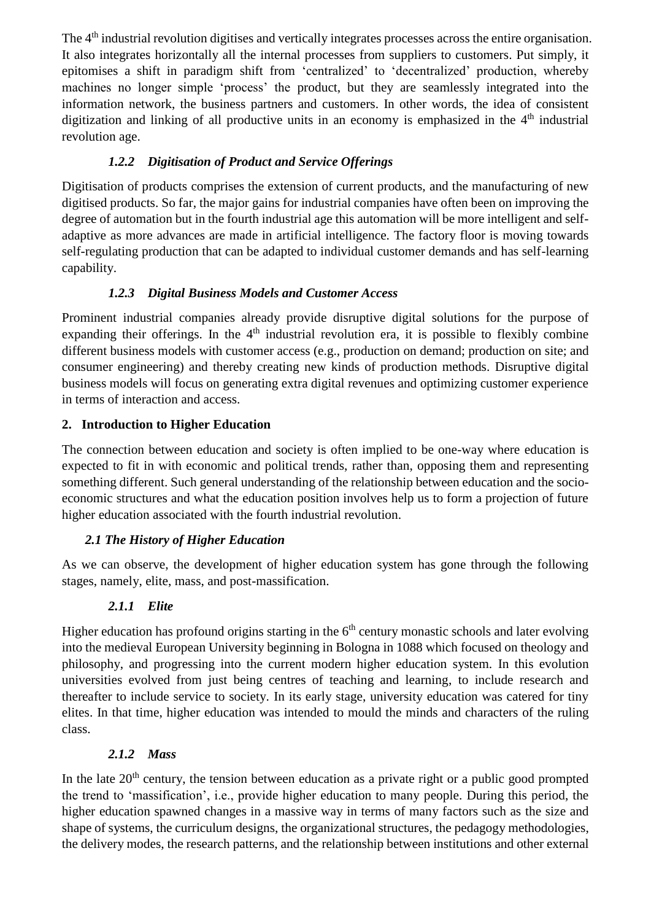The 4<sup>th</sup> industrial revolution digitises and vertically integrates processes across the entire organisation. It also integrates horizontally all the internal processes from suppliers to customers. Put simply, it epitomises a shift in paradigm shift from 'centralized' to 'decentralized' production, whereby machines no longer simple 'process' the product, but they are seamlessly integrated into the information network, the business partners and customers. In other words, the idea of consistent digitization and linking of all productive units in an economy is emphasized in the  $4<sup>th</sup>$  industrial revolution age.

# *1.2.2 Digitisation of Product and Service Offerings*

Digitisation of products comprises the extension of current products, and the manufacturing of new digitised products. So far, the major gains for industrial companies have often been on improving the degree of automation but in the fourth industrial age this automation will be more intelligent and selfadaptive as more advances are made in artificial intelligence. The factory floor is moving towards self-regulating production that can be adapted to individual customer demands and has self-learning capability.

# *1.2.3 Digital Business Models and Customer Access*

Prominent industrial companies already provide disruptive digital solutions for the purpose of expanding their offerings. In the 4<sup>th</sup> industrial revolution era, it is possible to flexibly combine different business models with customer access (e.g., production on demand; production on site; and consumer engineering) and thereby creating new kinds of production methods. Disruptive digital business models will focus on generating extra digital revenues and optimizing customer experience in terms of interaction and access.

# **2. Introduction to Higher Education**

The connection between education and society is often implied to be one-way where education is expected to fit in with economic and political trends, rather than, opposing them and representing something different. Such general understanding of the relationship between education and the socioeconomic structures and what the education position involves help us to form a projection of future higher education associated with the fourth industrial revolution.

# *2.1 The History of Higher Education*

As we can observe, the development of higher education system has gone through the following stages, namely, elite, mass, and post-massification.

# *2.1.1 Elite*

Higher education has profound origins starting in the  $6<sup>th</sup>$  century monastic schools and later evolving into the medieval European University beginning in Bologna in 1088 which focused on theology and philosophy, and progressing into the current modern higher education system. In this evolution universities evolved from just being centres of teaching and learning, to include research and thereafter to include service to society. In its early stage, university education was catered for tiny elites. In that time, higher education was intended to mould the minds and characters of the ruling class.

# *2.1.2 Mass*

In the late  $20<sup>th</sup>$  century, the tension between education as a private right or a public good prompted the trend to 'massification', i.e., provide higher education to many people. During this period, the higher education spawned changes in a massive way in terms of many factors such as the size and shape of systems, the curriculum designs, the organizational structures, the pedagogy methodologies, the delivery modes, the research patterns, and the relationship between institutions and other external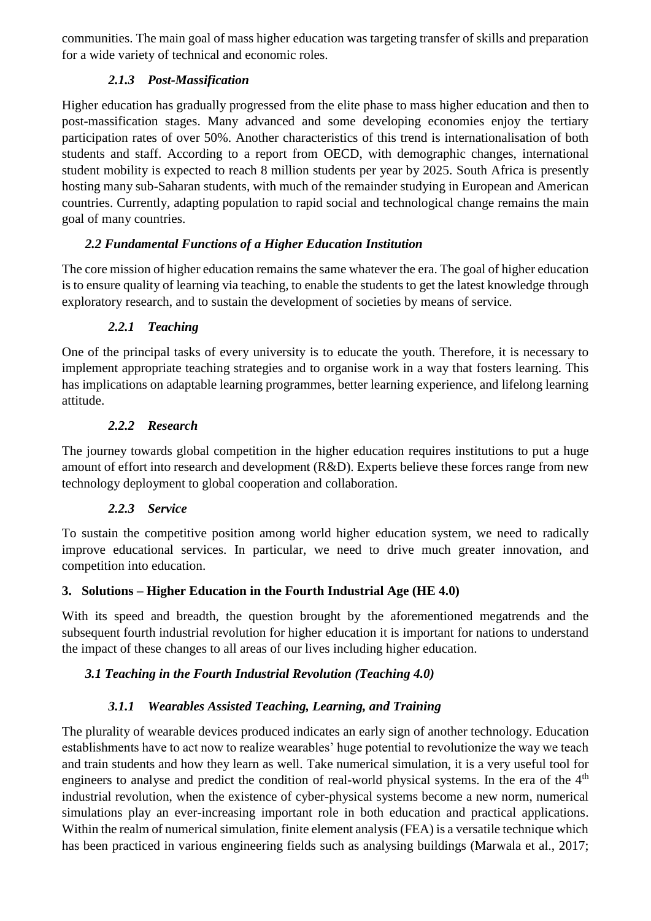communities. The main goal of mass higher education was targeting transfer of skills and preparation for a wide variety of technical and economic roles.

## *2.1.3 Post-Massification*

Higher education has gradually progressed from the elite phase to mass higher education and then to post-massification stages. Many advanced and some developing economies enjoy the tertiary participation rates of over 50%. Another characteristics of this trend is internationalisation of both students and staff. According to a report from OECD, with demographic changes, international student mobility is expected to reach 8 million students per year by 2025. South Africa is presently hosting many sub-Saharan students, with much of the remainder studying in European and American countries. Currently, adapting population to rapid social and technological change remains the main goal of many countries.

## *2.2 Fundamental Functions of a Higher Education Institution*

The core mission of higher education remains the same whatever the era. The goal of higher education is to ensure quality of learning via teaching, to enable the students to get the latest knowledge through exploratory research, and to sustain the development of societies by means of service.

## *2.2.1 Teaching*

One of the principal tasks of every university is to educate the youth. Therefore, it is necessary to implement appropriate teaching strategies and to organise work in a way that fosters learning. This has implications on adaptable learning programmes, better learning experience, and lifelong learning attitude.

### *2.2.2 Research*

The journey towards global competition in the higher education requires institutions to put a huge amount of effort into research and development (R&D). Experts believe these forces range from new technology deployment to global cooperation and collaboration.

### *2.2.3 Service*

To sustain the competitive position among world higher education system, we need to radically improve educational services. In particular, we need to drive much greater innovation, and competition into education.

### **3. Solutions – Higher Education in the Fourth Industrial Age (HE 4.0)**

With its speed and breadth, the question brought by the aforementioned megatrends and the subsequent fourth industrial revolution for higher education it is important for nations to understand the impact of these changes to all areas of our lives including higher education.

# *3.1 Teaching in the Fourth Industrial Revolution (Teaching 4.0)*

# *3.1.1 Wearables Assisted Teaching, Learning, and Training*

The plurality of wearable devices produced indicates an early sign of another technology. Education establishments have to act now to realize wearables' huge potential to revolutionize the way we teach and train students and how they learn as well. Take numerical simulation, it is a very useful tool for engineers to analyse and predict the condition of real-world physical systems. In the era of the 4<sup>th</sup> industrial revolution, when the existence of cyber-physical systems become a new norm, numerical simulations play an ever-increasing important role in both education and practical applications. Within the realm of numerical simulation, finite element analysis (FEA) is a versatile technique which has been practiced in various engineering fields such as analysing buildings (Marwala et al., 2017;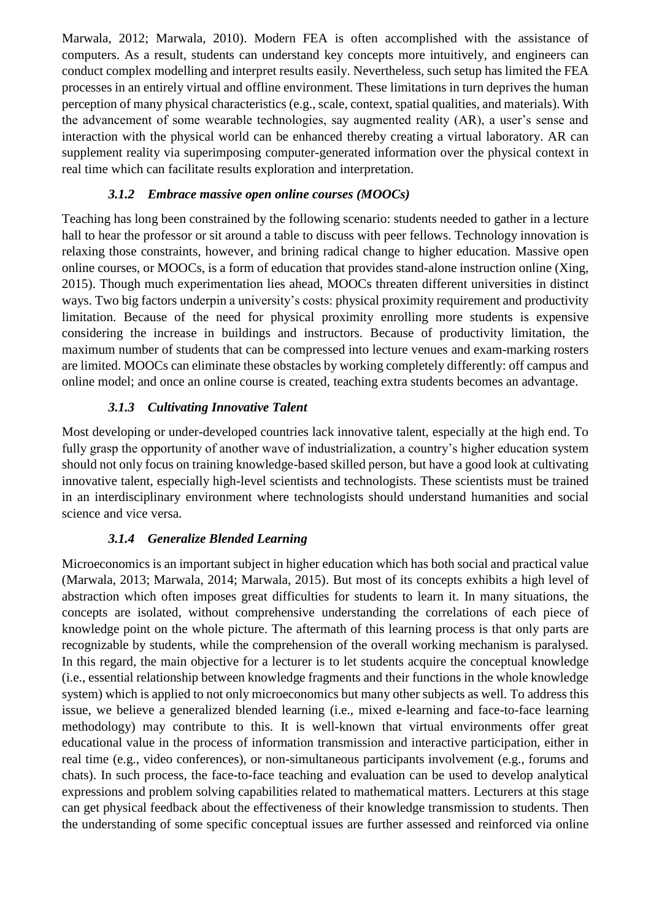Marwala, 2012; Marwala, 2010). Modern FEA is often accomplished with the assistance of computers. As a result, students can understand key concepts more intuitively, and engineers can conduct complex modelling and interpret results easily. Nevertheless, such setup has limited the FEA processes in an entirely virtual and offline environment. These limitations in turn deprives the human perception of many physical characteristics (e.g., scale, context, spatial qualities, and materials). With the advancement of some wearable technologies, say augmented reality (AR), a user's sense and interaction with the physical world can be enhanced thereby creating a virtual laboratory. AR can supplement reality via superimposing computer-generated information over the physical context in real time which can facilitate results exploration and interpretation.

### *3.1.2 Embrace massive open online courses (MOOCs)*

Teaching has long been constrained by the following scenario: students needed to gather in a lecture hall to hear the professor or sit around a table to discuss with peer fellows. Technology innovation is relaxing those constraints, however, and brining radical change to higher education. Massive open online courses, or MOOCs, is a form of education that provides stand-alone instruction online (Xing, 2015). Though much experimentation lies ahead, MOOCs threaten different universities in distinct ways. Two big factors underpin a university's costs: physical proximity requirement and productivity limitation. Because of the need for physical proximity enrolling more students is expensive considering the increase in buildings and instructors. Because of productivity limitation, the maximum number of students that can be compressed into lecture venues and exam-marking rosters are limited. MOOCs can eliminate these obstacles by working completely differently: off campus and online model; and once an online course is created, teaching extra students becomes an advantage.

### *3.1.3 Cultivating Innovative Talent*

Most developing or under-developed countries lack innovative talent, especially at the high end. To fully grasp the opportunity of another wave of industrialization, a country's higher education system should not only focus on training knowledge-based skilled person, but have a good look at cultivating innovative talent, especially high-level scientists and technologists. These scientists must be trained in an interdisciplinary environment where technologists should understand humanities and social science and vice versa.

### *3.1.4 Generalize Blended Learning*

Microeconomics is an important subject in higher education which has both social and practical value (Marwala, 2013; Marwala, 2014; Marwala, 2015). But most of its concepts exhibits a high level of abstraction which often imposes great difficulties for students to learn it. In many situations, the concepts are isolated, without comprehensive understanding the correlations of each piece of knowledge point on the whole picture. The aftermath of this learning process is that only parts are recognizable by students, while the comprehension of the overall working mechanism is paralysed. In this regard, the main objective for a lecturer is to let students acquire the conceptual knowledge (i.e., essential relationship between knowledge fragments and their functions in the whole knowledge system) which is applied to not only microeconomics but many other subjects as well. To address this issue, we believe a generalized blended learning (i.e., mixed e-learning and face-to-face learning methodology) may contribute to this. It is well-known that virtual environments offer great educational value in the process of information transmission and interactive participation, either in real time (e.g., video conferences), or non-simultaneous participants involvement (e.g., forums and chats). In such process, the face-to-face teaching and evaluation can be used to develop analytical expressions and problem solving capabilities related to mathematical matters. Lecturers at this stage can get physical feedback about the effectiveness of their knowledge transmission to students. Then the understanding of some specific conceptual issues are further assessed and reinforced via online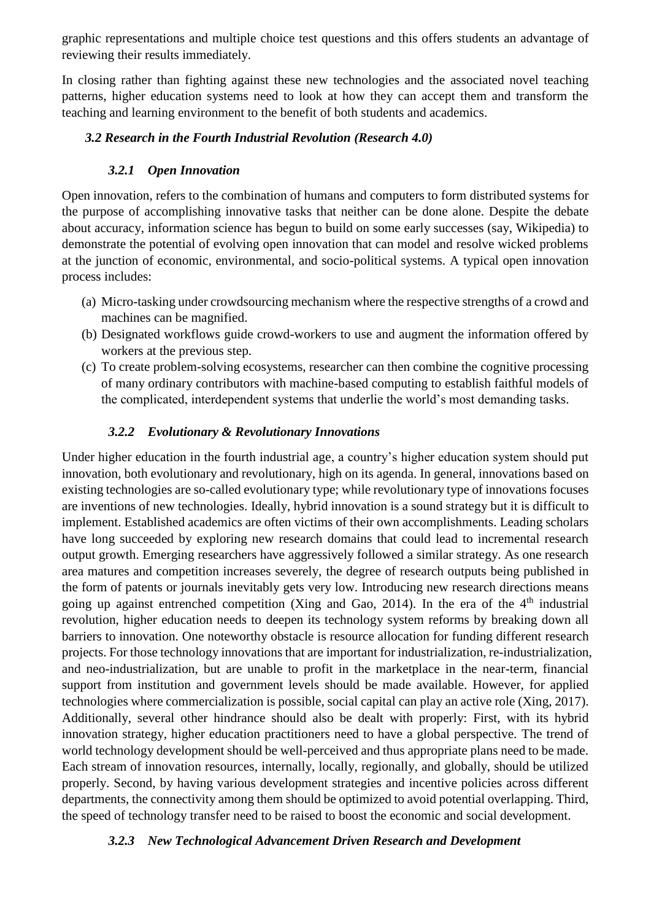graphic representations and multiple choice test questions and this offers students an advantage of reviewing their results immediately.

In closing rather than fighting against these new technologies and the associated novel teaching patterns, higher education systems need to look at how they can accept them and transform the teaching and learning environment to the benefit of both students and academics.

### *3.2 Research in the Fourth Industrial Revolution (Research 4.0)*

### *3.2.1 Open Innovation*

Open innovation, refers to the combination of humans and computers to form distributed systems for the purpose of accomplishing innovative tasks that neither can be done alone. Despite the debate about accuracy, information science has begun to build on some early successes (say, Wikipedia) to demonstrate the potential of evolving open innovation that can model and resolve wicked problems at the junction of economic, environmental, and socio-political systems. A typical open innovation process includes:

- (a) Micro-tasking under crowdsourcing mechanism where the respective strengths of a crowd and machines can be magnified.
- (b) Designated workflows guide crowd-workers to use and augment the information offered by workers at the previous step.
- (c) To create problem-solving ecosystems, researcher can then combine the cognitive processing of many ordinary contributors with machine-based computing to establish faithful models of the complicated, interdependent systems that underlie the world's most demanding tasks.

### *3.2.2 Evolutionary & Revolutionary Innovations*

Under higher education in the fourth industrial age, a country's higher education system should put innovation, both evolutionary and revolutionary, high on its agenda. In general, innovations based on existing technologies are so-called evolutionary type; while revolutionary type of innovations focuses are inventions of new technologies. Ideally, hybrid innovation is a sound strategy but it is difficult to implement. Established academics are often victims of their own accomplishments. Leading scholars have long succeeded by exploring new research domains that could lead to incremental research output growth. Emerging researchers have aggressively followed a similar strategy. As one research area matures and competition increases severely, the degree of research outputs being published in the form of patents or journals inevitably gets very low. Introducing new research directions means going up against entrenched competition (Xing and Gao, 2014). In the era of the  $4<sup>th</sup>$  industrial revolution, higher education needs to deepen its technology system reforms by breaking down all barriers to innovation. One noteworthy obstacle is resource allocation for funding different research projects. For those technology innovations that are important for industrialization, re-industrialization, and neo-industrialization, but are unable to profit in the marketplace in the near-term, financial support from institution and government levels should be made available. However, for applied technologies where commercialization is possible, social capital can play an active role (Xing, 2017). Additionally, several other hindrance should also be dealt with properly: First, with its hybrid innovation strategy, higher education practitioners need to have a global perspective. The trend of world technology development should be well-perceived and thus appropriate plans need to be made. Each stream of innovation resources, internally, locally, regionally, and globally, should be utilized properly. Second, by having various development strategies and incentive policies across different departments, the connectivity among them should be optimized to avoid potential overlapping. Third, the speed of technology transfer need to be raised to boost the economic and social development.

#### *3.2.3 New Technological Advancement Driven Research and Development*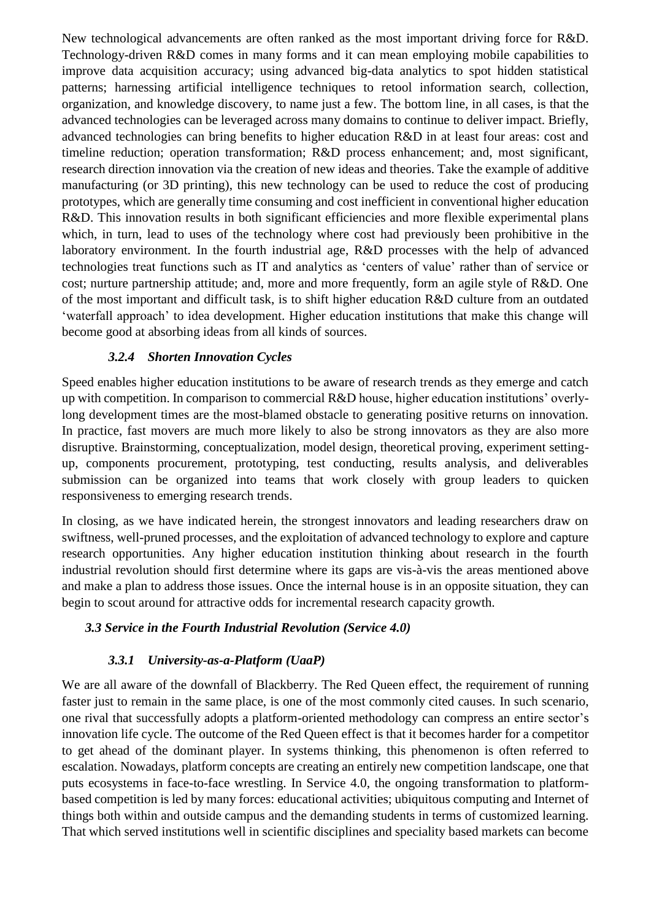New technological advancements are often ranked as the most important driving force for R&D. Technology-driven R&D comes in many forms and it can mean employing mobile capabilities to improve data acquisition accuracy; using advanced big-data analytics to spot hidden statistical patterns; harnessing artificial intelligence techniques to retool information search, collection, organization, and knowledge discovery, to name just a few. The bottom line, in all cases, is that the advanced technologies can be leveraged across many domains to continue to deliver impact. Briefly, advanced technologies can bring benefits to higher education R&D in at least four areas: cost and timeline reduction; operation transformation; R&D process enhancement; and, most significant, research direction innovation via the creation of new ideas and theories. Take the example of additive manufacturing (or 3D printing), this new technology can be used to reduce the cost of producing prototypes, which are generally time consuming and cost inefficient in conventional higher education R&D. This innovation results in both significant efficiencies and more flexible experimental plans which, in turn, lead to uses of the technology where cost had previously been prohibitive in the laboratory environment. In the fourth industrial age, R&D processes with the help of advanced technologies treat functions such as IT and analytics as 'centers of value' rather than of service or cost; nurture partnership attitude; and, more and more frequently, form an agile style of R&D. One of the most important and difficult task, is to shift higher education R&D culture from an outdated 'waterfall approach' to idea development. Higher education institutions that make this change will become good at absorbing ideas from all kinds of sources.

### *3.2.4 Shorten Innovation Cycles*

Speed enables higher education institutions to be aware of research trends as they emerge and catch up with competition. In comparison to commercial R&D house, higher education institutions' overlylong development times are the most-blamed obstacle to generating positive returns on innovation. In practice, fast movers are much more likely to also be strong innovators as they are also more disruptive. Brainstorming, conceptualization, model design, theoretical proving, experiment settingup, components procurement, prototyping, test conducting, results analysis, and deliverables submission can be organized into teams that work closely with group leaders to quicken responsiveness to emerging research trends.

In closing, as we have indicated herein, the strongest innovators and leading researchers draw on swiftness, well-pruned processes, and the exploitation of advanced technology to explore and capture research opportunities. Any higher education institution thinking about research in the fourth industrial revolution should first determine where its gaps are vis-à-vis the areas mentioned above and make a plan to address those issues. Once the internal house is in an opposite situation, they can begin to scout around for attractive odds for incremental research capacity growth.

#### *3.3 Service in the Fourth Industrial Revolution (Service 4.0)*

#### *3.3.1 University-as-a-Platform (UaaP)*

We are all aware of the downfall of Blackberry. The Red Queen effect, the requirement of running faster just to remain in the same place, is one of the most commonly cited causes. In such scenario, one rival that successfully adopts a platform-oriented methodology can compress an entire sector's innovation life cycle. The outcome of the Red Queen effect is that it becomes harder for a competitor to get ahead of the dominant player. In systems thinking, this phenomenon is often referred to escalation. Nowadays, platform concepts are creating an entirely new competition landscape, one that puts ecosystems in face-to-face wrestling. In Service 4.0, the ongoing transformation to platformbased competition is led by many forces: educational activities; ubiquitous computing and Internet of things both within and outside campus and the demanding students in terms of customized learning. That which served institutions well in scientific disciplines and speciality based markets can become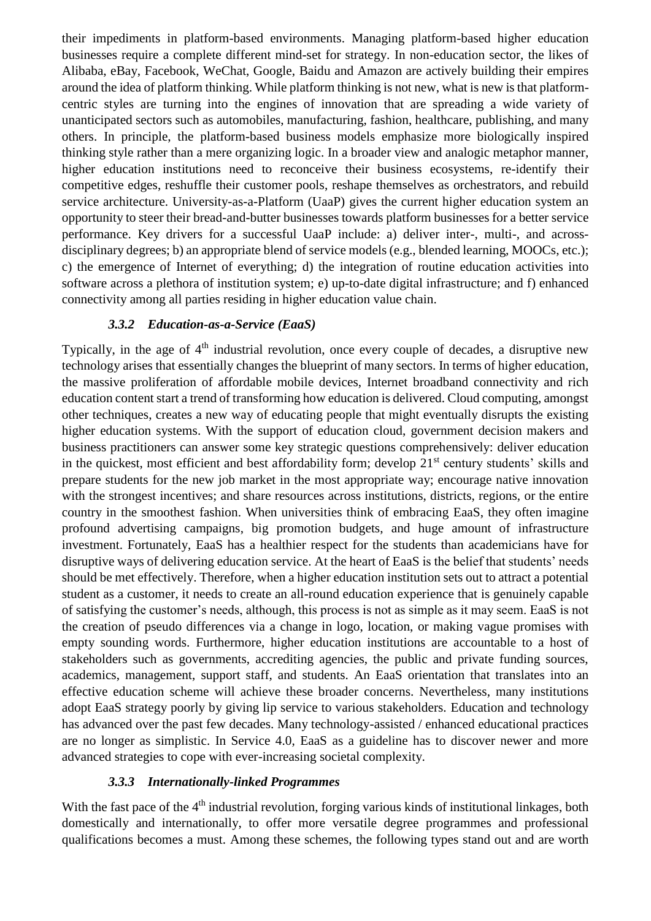their impediments in platform-based environments. Managing platform-based higher education businesses require a complete different mind-set for strategy. In non-education sector, the likes of Alibaba, eBay, Facebook, WeChat, Google, Baidu and Amazon are actively building their empires around the idea of platform thinking. While platform thinking is not new, what is new is that platformcentric styles are turning into the engines of innovation that are spreading a wide variety of unanticipated sectors such as automobiles, manufacturing, fashion, healthcare, publishing, and many others. In principle, the platform-based business models emphasize more biologically inspired thinking style rather than a mere organizing logic. In a broader view and analogic metaphor manner, higher education institutions need to reconceive their business ecosystems, re-identify their competitive edges, reshuffle their customer pools, reshape themselves as orchestrators, and rebuild service architecture. University-as-a-Platform (UaaP) gives the current higher education system an opportunity to steer their bread-and-butter businesses towards platform businesses for a better service performance. Key drivers for a successful UaaP include: a) deliver inter-, multi-, and acrossdisciplinary degrees; b) an appropriate blend of service models (e.g., blended learning, MOOCs, etc.); c) the emergence of Internet of everything; d) the integration of routine education activities into software across a plethora of institution system; e) up-to-date digital infrastructure; and f) enhanced connectivity among all parties residing in higher education value chain.

#### *3.3.2 Education-as-a-Service (EaaS)*

Typically, in the age of  $4<sup>th</sup>$  industrial revolution, once every couple of decades, a disruptive new technology arises that essentially changes the blueprint of many sectors. In terms of higher education, the massive proliferation of affordable mobile devices, Internet broadband connectivity and rich education content start a trend of transforming how education is delivered. Cloud computing, amongst other techniques, creates a new way of educating people that might eventually disrupts the existing higher education systems. With the support of education cloud, government decision makers and business practitioners can answer some key strategic questions comprehensively: deliver education in the quickest, most efficient and best affordability form; develop 21<sup>st</sup> century students' skills and prepare students for the new job market in the most appropriate way; encourage native innovation with the strongest incentives; and share resources across institutions, districts, regions, or the entire country in the smoothest fashion. When universities think of embracing EaaS, they often imagine profound advertising campaigns, big promotion budgets, and huge amount of infrastructure investment. Fortunately, EaaS has a healthier respect for the students than academicians have for disruptive ways of delivering education service. At the heart of EaaS is the belief that students' needs should be met effectively. Therefore, when a higher education institution sets out to attract a potential student as a customer, it needs to create an all-round education experience that is genuinely capable of satisfying the customer's needs, although, this process is not as simple as it may seem. EaaS is not the creation of pseudo differences via a change in logo, location, or making vague promises with empty sounding words. Furthermore, higher education institutions are accountable to a host of stakeholders such as governments, accrediting agencies, the public and private funding sources, academics, management, support staff, and students. An EaaS orientation that translates into an effective education scheme will achieve these broader concerns. Nevertheless, many institutions adopt EaaS strategy poorly by giving lip service to various stakeholders. Education and technology has advanced over the past few decades. Many technology-assisted / enhanced educational practices are no longer as simplistic. In Service 4.0, EaaS as a guideline has to discover newer and more advanced strategies to cope with ever-increasing societal complexity.

#### *3.3.3 Internationally-linked Programmes*

With the fast pace of the  $4<sup>th</sup>$  industrial revolution, forging various kinds of institutional linkages, both domestically and internationally, to offer more versatile degree programmes and professional qualifications becomes a must. Among these schemes, the following types stand out and are worth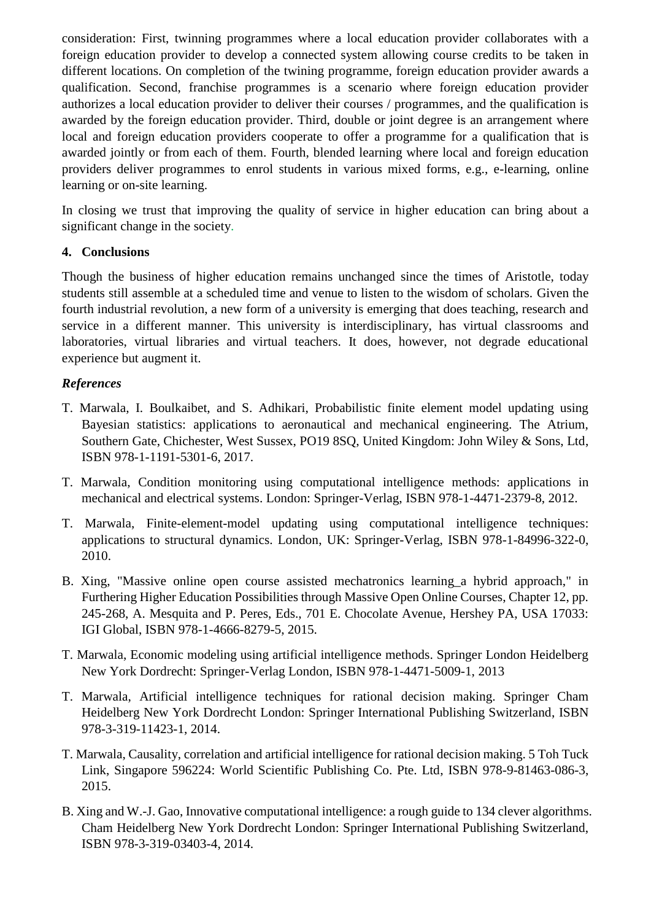consideration: First, twinning programmes where a local education provider collaborates with a foreign education provider to develop a connected system allowing course credits to be taken in different locations. On completion of the twining programme, foreign education provider awards a qualification. Second, franchise programmes is a scenario where foreign education provider authorizes a local education provider to deliver their courses / programmes, and the qualification is awarded by the foreign education provider. Third, double or joint degree is an arrangement where local and foreign education providers cooperate to offer a programme for a qualification that is awarded jointly or from each of them. Fourth, blended learning where local and foreign education providers deliver programmes to enrol students in various mixed forms, e.g., e-learning, online learning or on-site learning.

In closing we trust that improving the quality of service in higher education can bring about a significant change in the society.

### **4. Conclusions**

Though the business of higher education remains unchanged since the times of Aristotle, today students still assemble at a scheduled time and venue to listen to the wisdom of scholars. Given the fourth industrial revolution, a new form of a university is emerging that does teaching, research and service in a different manner. This university is interdisciplinary, has virtual classrooms and laboratories, virtual libraries and virtual teachers. It does, however, not degrade educational experience but augment it.

### *References*

- T. Marwala, I. Boulkaibet, and S. Adhikari, Probabilistic finite element model updating using Bayesian statistics: applications to aeronautical and mechanical engineering. The Atrium, Southern Gate, Chichester, West Sussex, PO19 8SQ, United Kingdom: John Wiley & Sons, Ltd, ISBN 978-1-1191-5301-6, 2017.
- T. Marwala, Condition monitoring using computational intelligence methods: applications in mechanical and electrical systems. London: Springer-Verlag, ISBN 978-1-4471-2379-8, 2012.
- T. Marwala, Finite-element-model updating using computational intelligence techniques: applications to structural dynamics. London, UK: Springer-Verlag, ISBN 978-1-84996-322-0, 2010.
- B. Xing, "Massive online open course assisted mechatronics learning a hybrid approach," in Furthering Higher Education Possibilities through Massive Open Online Courses, Chapter 12, pp. 245-268, A. Mesquita and P. Peres, Eds., 701 E. Chocolate Avenue, Hershey PA, USA 17033: IGI Global, ISBN 978-1-4666-8279-5, 2015.
- T. Marwala, Economic modeling using artificial intelligence methods. Springer London Heidelberg New York Dordrecht: Springer-Verlag London, ISBN 978-1-4471-5009-1, 2013
- T. Marwala, Artificial intelligence techniques for rational decision making. Springer Cham Heidelberg New York Dordrecht London: Springer International Publishing Switzerland, ISBN 978-3-319-11423-1, 2014.
- T. Marwala, Causality, correlation and artificial intelligence for rational decision making. 5 Toh Tuck Link, Singapore 596224: World Scientific Publishing Co. Pte. Ltd, ISBN 978-9-81463-086-3, 2015.
- B. Xing and W.-J. Gao, Innovative computational intelligence: a rough guide to 134 clever algorithms. Cham Heidelberg New York Dordrecht London: Springer International Publishing Switzerland, ISBN 978-3-319-03403-4, 2014.